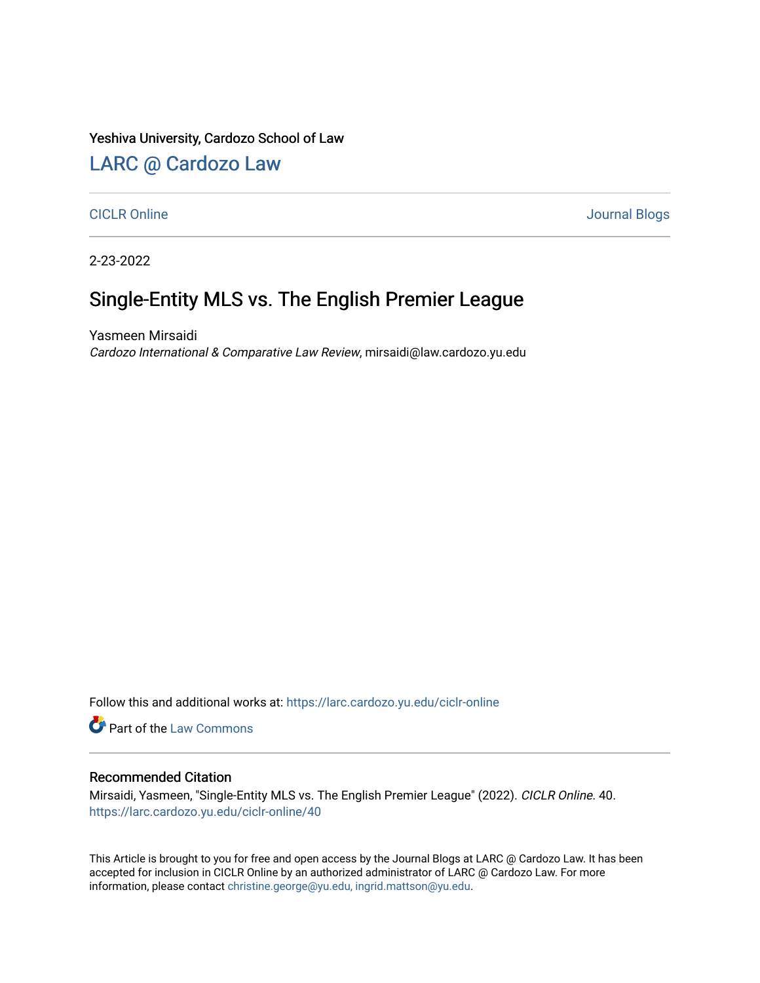Yeshiva University, Cardozo School of Law

## [LARC @ Cardozo Law](https://larc.cardozo.yu.edu/)

[CICLR Online](https://larc.cardozo.yu.edu/ciclr-online) Journal Blogs

2-23-2022

# Single-Entity MLS vs. The English Premier League

Yasmeen Mirsaidi Cardozo International & Comparative Law Review, mirsaidi@law.cardozo.yu.edu

Follow this and additional works at: [https://larc.cardozo.yu.edu/ciclr-online](https://larc.cardozo.yu.edu/ciclr-online?utm_source=larc.cardozo.yu.edu%2Fciclr-online%2F40&utm_medium=PDF&utm_campaign=PDFCoverPages) 

Part of the [Law Commons](http://network.bepress.com/hgg/discipline/578?utm_source=larc.cardozo.yu.edu%2Fciclr-online%2F40&utm_medium=PDF&utm_campaign=PDFCoverPages)

#### Recommended Citation

Mirsaidi, Yasmeen, "Single-Entity MLS vs. The English Premier League" (2022). CICLR Online. 40. [https://larc.cardozo.yu.edu/ciclr-online/40](https://larc.cardozo.yu.edu/ciclr-online/40?utm_source=larc.cardozo.yu.edu%2Fciclr-online%2F40&utm_medium=PDF&utm_campaign=PDFCoverPages) 

This Article is brought to you for free and open access by the Journal Blogs at LARC @ Cardozo Law. It has been accepted for inclusion in CICLR Online by an authorized administrator of LARC @ Cardozo Law. For more information, please contact [christine.george@yu.edu, ingrid.mattson@yu.edu](mailto:christine.george@yu.edu,%20ingrid.mattson@yu.edu).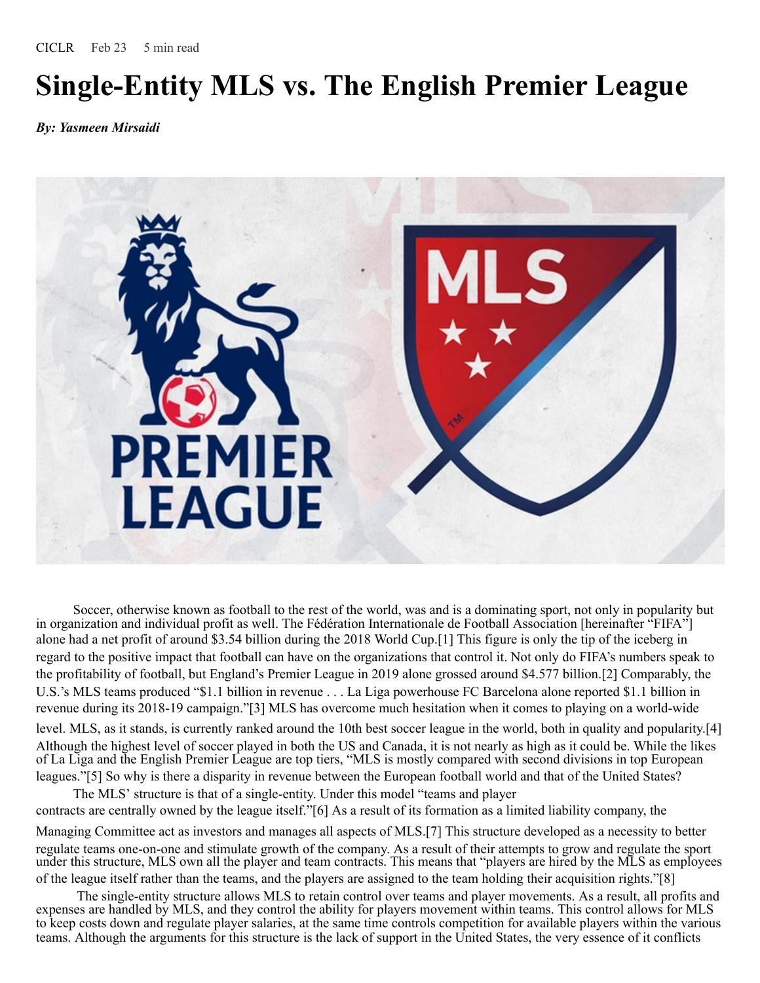# **Single-Entity MLS vs. The English Premier League**

*By: Yasmeen Mirsaidi*



Soccer, otherwise known as football to the rest of the world, was and is a dominating sport, not only in popularity but in organization and individual profit as well. The Fédération Internationale de Football Association [hereinafter "FIFA"] alone had a net profit of around \$3.54 billion during the 2018 World Cup.[1] This figure is only the tip of the iceberg in regard to the positive impact that football can have on the organizations that control it. Not only do FIFA's numbers speak to the profitability of football, but England's Premier League in 2019 alone grossed around \$4.577 billion.[2] Comparably, the U.S.'s MLS teams produced "\$1.1 billion in revenue . . . La Liga powerhouse FC Barcelona alone reported \$1.1 billion in revenue during its 2018-19 campaign."[3] MLS has overcome much hesitation when it comes to playing on a world-wide level. MLS, as it stands, is currently ranked around the 10th best soccer league in the world, both in quality and popularity.[4] Although the highest level of soccer played in both the US and Canada, it is not nearly as high as it could be. While the likes of La Liga and the English Premier League are top tiers, "MLS is mostly compared with second divisions in top European leagues."[5] So why is there a disparity in revenue between the European football world and that of the United States?

The MLS' structure is that of a single-entity. Under this model "teams and player contracts are centrally owned by the league itself."[6] As a result of its formation as a limited liability company, the Managing Committee act as investors and manages all aspects of MLS.[7] This structure developed as a necessity to better regulate teams one-on-one and stimulate growth of the company. As a result of their attempts to grow and regulate the sport under this structure, MLS own all the player and team contracts. This means that "players are hired by the MLS as employees of the league itself rather than the teams, and the players are assigned to the team holding their acquisition rights."[8]

The single-entity structure allows MLS to retain control over teams and player movements. As a result, all profits and expenses are handled by MLS, and they control the ability for players movement within teams. This control allows for MLS to keep costs down and regulate player salaries, at the same time controls competition for available players within the various teams. Although the arguments for this structure is the lack of support in the United States, the very essence of it conflicts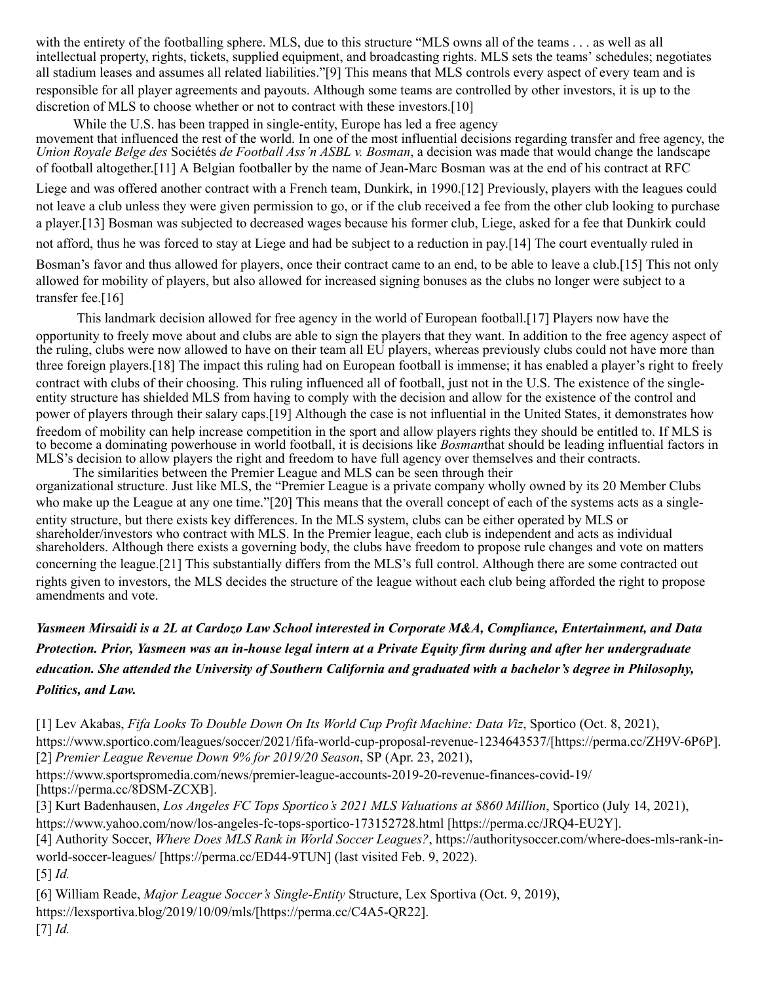with the entirety of the footballing sphere. MLS, due to this structure "MLS owns all of the teams . . . as well as all intellectual property, rights, tickets, supplied equipment, and broadcasting rights. MLS sets the teams' schedules; negotiates all stadium leases and assumes all related liabilities."[9] This means that MLS controls every aspect of every team and is responsible for all player agreements and payouts. Although some teams are controlled by other investors, it is up to the discretion of MLS to choose whether or not to contract with these investors.[10]

While the U.S. has been trapped in single-entity, Europe has led a free agency movement that influenced the rest of the world. In one of the most influential decisions regarding transfer and free agency, the *Union Royale Belge des* Sociétés *de Football Ass'n ASBL v. Bosman*, a decision was made that would change the landscape of football altogether.[11] A Belgian footballer by the name of Jean-Marc Bosman was at the end of his contract at RFC

Liege and was offered another contract with a French team, Dunkirk, in 1990.[12] Previously, players with the leagues could not leave a club unless they were given permission to go, or if the club received a fee from the other club looking to purchase a player.[13] Bosman was subjected to decreased wages because his former club, Liege, asked for a fee that Dunkirk could

not afford, thus he was forced to stay at Liege and had be subject to a reduction in pay.[14] The court eventually ruled in

Bosman's favor and thus allowed for players, once their contract came to an end, to be able to leave a club.[15] This not only allowed for mobility of players, but also allowed for increased signing bonuses as the clubs no longer were subject to a transfer fee.[16]

This landmark decision allowed for free agency in the world of European football.[17] Players now have the opportunity to freely move about and clubs are able to sign the players that they want. In addition to the free agency aspect of the ruling, clubs were now allowed to have on their team all EU players, whereas previously clubs could not have more than three foreign players.[18] The impact this ruling had on European football is immense; it has enabled a player's right to freely contract with clubs of their choosing. This ruling influenced all of football, just not in the U.S. The existence of the singleentity structure has shielded MLS from having to comply with the decision and allow for the existence of the control and power of players through their salary caps.[19] Although the case is not influential in the United States, it demonstrates how freedom of mobility can help increase competition in the sport and allow players rights they should be entitled to. If MLS is to become a dominating powerhouse in world football, it is decisions like *Bosman*that should be leading influential factors in MLS's decision to allow players the right and freedom to have full agency over themselves and their contracts.

The similarities between the Premier League and MLS can be seen through their organizational structure. Just like MLS, the "Premier League is a private company wholly owned by its 20 Member Clubs who make up the League at any one time."[20] This means that the overall concept of each of the systems acts as a singleentity structure, but there exists key differences. In the MLS system, clubs can be either operated by MLS or shareholder/investors who contract with MLS. In the Premier league, each club is independent and acts as individual shareholders. Although there exists a governing body, the clubs have freedom to propose rule changes and vote on matters concerning the league.[21] This substantially differs from the MLS's full control. Although there are some contracted out rights given to investors, the MLS decides the structure of the league without each club being afforded the right to propose amendments and vote.

### Yasmeen Mirsaidi is a 2L at Cardozo Law School interested in Corporate M&A, Compliance, Entertainment, and Data Protection. Prior, Yasmeen was an in-house legal intern at a Private Equity firm during and after her undergraduate education. She attended the University of Southern California and graduated with a bachelor's degree in Philosophy, *Politics, and Law.*

[1] Lev Akabas, *Fifa Looks To Double Down On Its World Cup Profit Machine: Data Viz*, Sportico (Oct. 8, 2021), https://www.sportico.com/leagues/soccer/2021/fifa-world-cup-proposal-revenue-1234643537/[https://perma.cc/ZH9V-6P6P]. [2] *Premier League Revenue Down 9% for 2019/20 Season*, SP (Apr. 23, 2021),

https://www.sportspromedia.com/news/premier-league-accounts-2019-20-revenue-finances-covid-19/ [https://perma.cc/8DSM-ZCXB].

[3] Kurt Badenhausen, *Los Angeles FC Tops Sportico's 2021 MLS Valuations at \$860 Million*, Sportico (July 14, 2021), https://www.yahoo.com/now/los-angeles-fc-tops-sportico-173152728.html [https://perma.cc/JRQ4-EU2Y].

[4] Authority Soccer, *Where Does MLS Rank in World Soccer Leagues?*, https://authoritysoccer.com/where-does-mls-rank-inworld-soccer-leagues/ [https://perma.cc/ED44-9TUN] (last visited Feb. 9, 2022).

[5] *Id.*

[6] William Reade, *Major League Soccer's Single-Entity* Structure, Lex Sportiva (Oct. 9, 2019), https://lexsportiva.blog/2019/10/09/mls/[https://perma.cc/C4A5-QR22]. [7] *Id.*